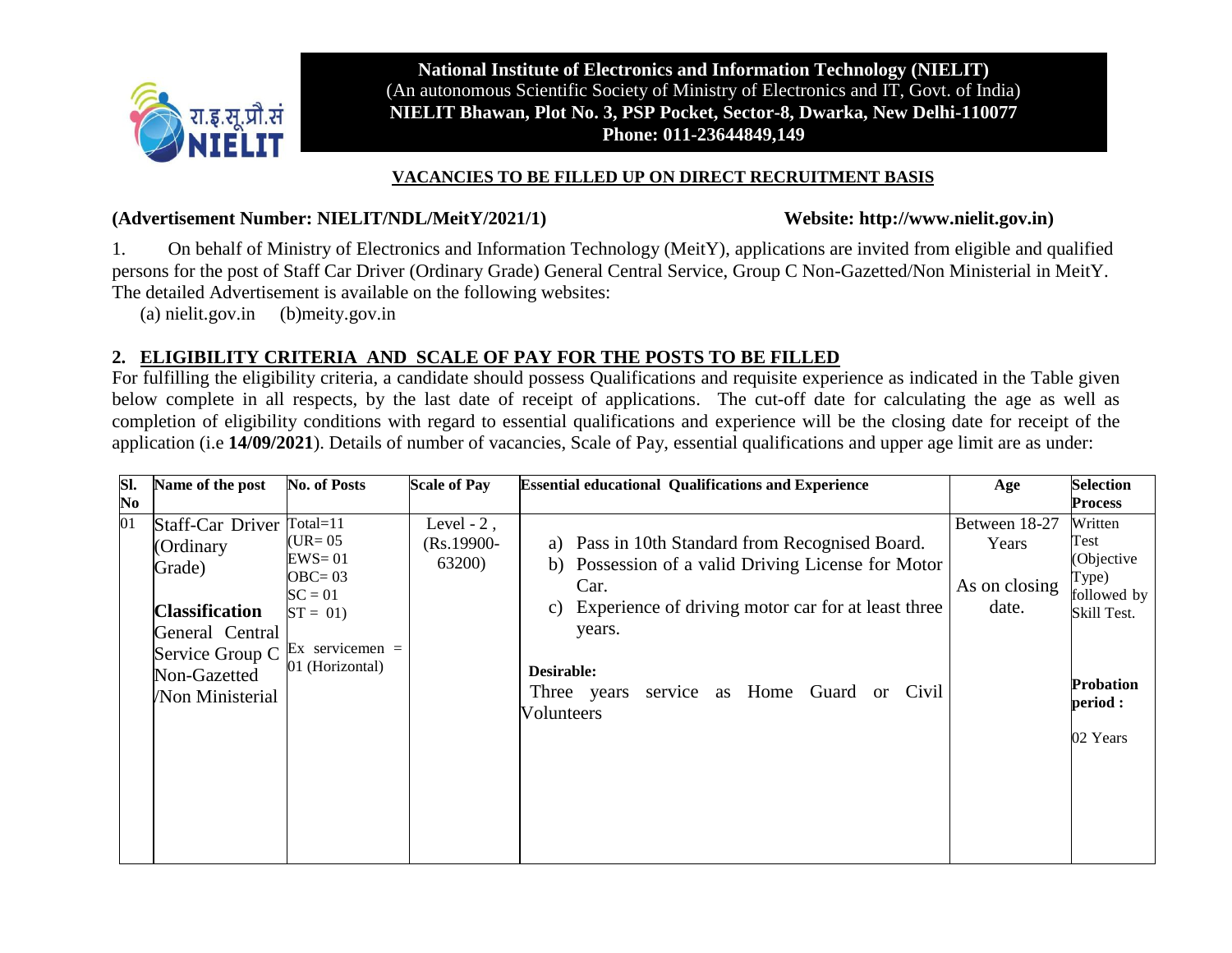

**National Institute of Electronics and Information Technology (NIELIT)** (An autonomous Scientific Society of Ministry of Electronics and IT, Govt. of India) **NIELIT Bhawan, Plot No. 3, PSP Pocket, Sector-8, Dwarka, New Delhi-110077 Phone: 011-23644849,149**

#### **VACANCIES TO BE FILLED UP ON DIRECT RECRUITMENT BASIS**

#### **(Advertisement Number: NIELIT/NDL/MeitY/2021/1) Website: [http://www.nielit.gov.in\)](http://www.nielit.gov.in/)**

1. On behalf of Ministry of Electronics and Information Technology (MeitY), applications are invited from eligible and qualified persons for the post of Staff Car Driver (Ordinary Grade) General Central Service, Group C Non-Gazetted/Non Ministerial in MeitY. The detailed Advertisement is available on the following websites:

(a) nielit.gov.in (b)meity.gov.in

### **2. ELIGIBILITY CRITERIA AND SCALE OF PAY FOR THE POSTS TO BE FILLED**

For fulfilling the eligibility criteria, a candidate should possess Qualifications and requisite experience as indicated in the Table given below complete in all respects, by the last date of receipt of applications. The cut-off date for calculating the age as well as completion of eligibility conditions with regard to essential qualifications and experience will be the closing date for receipt of the application (i.e **14/09/2021**). Details of number of vacancies, Scale of Pay, essential qualifications and upper age limit are as under:

| SI.            | Name of the post                                                                                                                                    | <b>No. of Posts</b>                                                                                     | <b>Scale of Pay</b>                             | <b>Essential educational Qualifications and Experience</b>                                                                                                                                                                                                                 | Age                                              | <b>Selection</b>                                                                                                 |
|----------------|-----------------------------------------------------------------------------------------------------------------------------------------------------|---------------------------------------------------------------------------------------------------------|-------------------------------------------------|----------------------------------------------------------------------------------------------------------------------------------------------------------------------------------------------------------------------------------------------------------------------------|--------------------------------------------------|------------------------------------------------------------------------------------------------------------------|
| N <sub>0</sub> |                                                                                                                                                     |                                                                                                         |                                                 |                                                                                                                                                                                                                                                                            |                                                  | <b>Process</b>                                                                                                   |
| 01             | Staff-Car Driver Total=11<br>(Ordinary<br>Grade)<br><b>Classification</b><br>General Central<br>Service Group C<br>Non-Gazetted<br>/Non Ministerial | (UR= $05$<br>$EWS = 01$<br>$OBC = 03$<br>$SC = 01$<br>$ST = 01$<br>Ex servicemen $=$<br>01 (Horizontal) | Level - $2$ ,<br>$(Rs.19900-$<br><b>63200</b> ) | a) Pass in 10th Standard from Recognised Board.<br>Possession of a valid Driving License for Motor<br>b)<br>Car.<br>Experience of driving motor car for at least three<br>C)<br>years.<br>Desirable:<br>service as Home Guard or Civil<br>Three years<br><b>Volunteers</b> | Between 18-27<br>Years<br>As on closing<br>date. | Written<br>Test<br>(Objective<br>Type)<br>followed by<br>Skill Test.<br><b>Probation</b><br>period :<br>02 Years |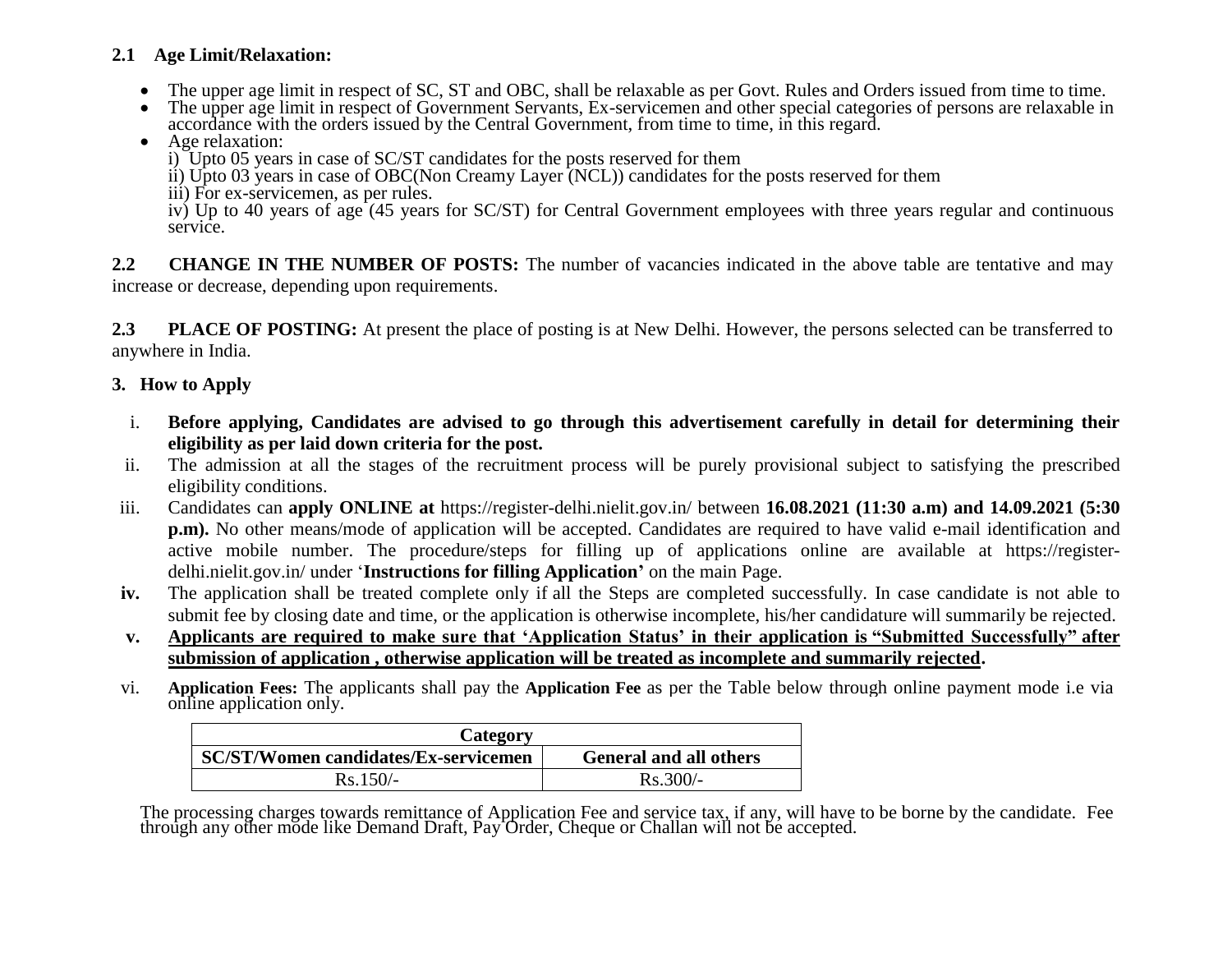### **2.1 Age Limit/Relaxation:**

- The upper age limit in respect of SC, ST and OBC, shall be relaxable as per Govt. Rules and Orders issued from time to time.
- The upper age limit in respect of Government Servants, Ex-servicemen and other special categories of persons are relaxable in accordance with the orders issued by the Central Government, from time to time, in this regard.

### Age relaxation:

- i) Upto 05 years in case of SC/ST candidates for the posts reserved for them
- ii) Upto 03 years in case of OBC(Non Creamy Layer (NCL)) candidates for the posts reserved for them
- iii) For ex-servicemen, as per rules.

iv) Up to 40 years of age (45 years for SC/ST) for Central Government employees with three years regular and continuous service.

**2.2 CHANGE IN THE NUMBER OF POSTS:** The number of vacancies indicated in the above table are tentative and may increase or decrease, depending upon requirements.

**2.3 PLACE OF POSTING:** At present the place of posting is at New Delhi. However, the persons selected can be transferred to anywhere in India.

## **3. How to Apply**

- i. **Before applying, Candidates are advised to go through this advertisement carefully in detail for determining their eligibility as per laid down criteria for the post.**
- ii. The admission at all the stages of the recruitment process will be purely provisional subject to satisfying the prescribed eligibility conditions.
- iii. Candidates can **apply ONLINE at** https://register-delhi.nielit.gov.in/ between **16.08.2021 (11:30 a.m) and 14.09.2021 (5:30 p.m).** No other means/mode of application will be accepted. Candidates are required to have valid e-mail identification and active mobile number. The procedure/steps for filling up of applications online are available at https://registerdelhi.nielit.gov.in/ under '**Instructions for filling Application"** on the main Page.
- **iv.** The application shall be treated complete only if all the Steps are completed successfully. In case candidate is not able to submit fee by closing date and time, or the application is otherwise incomplete, his/her candidature will summarily be rejected.
- **v. Applicants are required to make sure that "Application Status" in their application is "Submitted Successfully" after submission of application , otherwise application will be treated as incomplete and summarily rejected.**
- vi. **Application Fees:** The applicants shall pay the **Application Fee** as per the Table below through online payment mode i.e via online application only.

| Category                                    |                               |  |  |  |  |  |
|---------------------------------------------|-------------------------------|--|--|--|--|--|
| <b>SC/ST/Women candidates/Ex-servicemen</b> | <b>General and all others</b> |  |  |  |  |  |
| $Rs.150/-$                                  | $Rs.300/-$                    |  |  |  |  |  |

The processing charges towards remittance of Application Fee and service tax, if any, will have to be borne by the candidate. Fee through any other mode like Demand Draft, Pay Order, Cheque or Challan will not be accepted.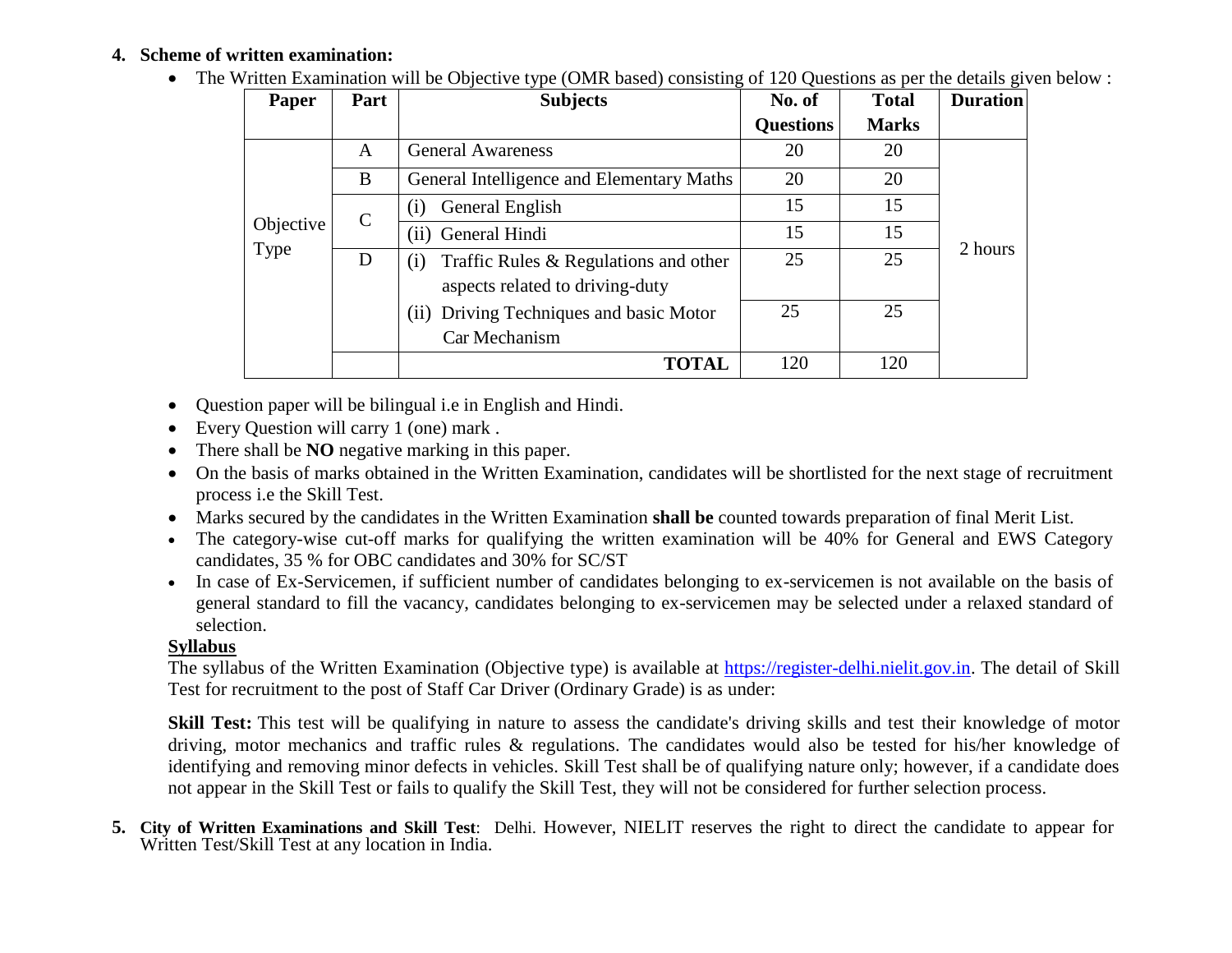## **4. Scheme of written examination:**

• The Written Examination will be Objective type (OMR based) consisting of 120 Questions as per the details given below :

| Part<br>Paper |               | <b>Subjects</b>                              | No. of           | <b>Total</b> | <b>Duration</b> |  |
|---------------|---------------|----------------------------------------------|------------------|--------------|-----------------|--|
|               |               |                                              | <b>Questions</b> | <b>Marks</b> |                 |  |
|               | A             | <b>General Awareness</b>                     | 20               | 20           |                 |  |
|               | B             | General Intelligence and Elementary Maths    | 20               | 20           |                 |  |
|               | $\mathcal{C}$ | General English<br>(1)                       | 15               | 15           |                 |  |
| Objective     |               | General Hindi<br>(i)                         | 15               | 15           |                 |  |
| Type          | D             | Traffic Rules & Regulations and other<br>(i) | 25               | 25           | 2 hours         |  |
|               |               | aspects related to driving-duty              |                  |              |                 |  |
|               |               | (ii) Driving Techniques and basic Motor      | 25               | 25           |                 |  |
|               |               | Car Mechanism                                |                  |              |                 |  |
|               |               | <b>TOTAL</b>                                 | 120              | 120          |                 |  |

- Question paper will be bilingual i.e in English and Hindi.
- Every Question will carry 1 (one) mark .
- There shall be **NO** negative marking in this paper.
- On the basis of marks obtained in the Written Examination, candidates will be shortlisted for the next stage of recruitment process i.e the Skill Test.
- Marks secured by the candidates in the Written Examination **shall be** counted towards preparation of final Merit List.
- The category-wise cut-off marks for qualifying the written examination will be 40% for General and EWS Category candidates, 35 % for OBC candidates and 30% for SC/ST
- In case of Ex-Servicemen, if sufficient number of candidates belonging to ex-servicemen is not available on the basis of general standard to fill the vacancy, candidates belonging to ex-servicemen may be selected under a relaxed standard of selection.

## **Syllabus**

The syllabus of the Written Examination (Objective type) is available at [https://register-delhi.nielit.gov.in.](https://register-delhi.nielit.gov.in/) The detail of Skill Test for recruitment to the post of Staff Car Driver (Ordinary Grade) is as under:

**Skill Test:** This test will be qualifying in nature to assess the candidate's driving skills and test their knowledge of motor driving, motor mechanics and traffic rules & regulations. The candidates would also be tested for his/her knowledge of identifying and removing minor defects in vehicles. Skill Test shall be of qualifying nature only; however, if a candidate does not appear in the Skill Test or fails to qualify the Skill Test, they will not be considered for further selection process.

**5. City of Written Examinations and Skill Test**: Delhi. However, NIELIT reserves the right to direct the candidate to appear for Written Test/Skill Test at any location in India.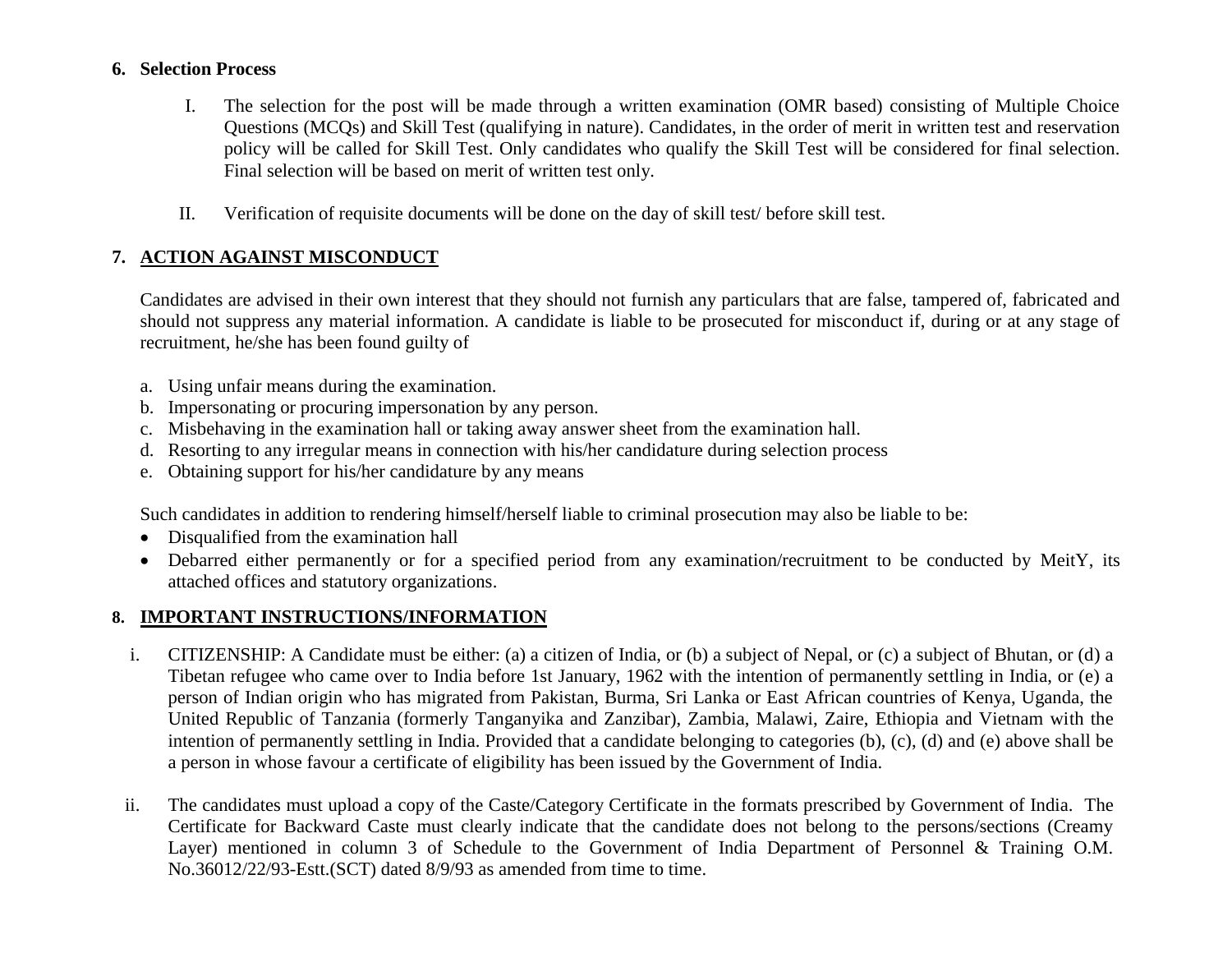#### **6. Selection Process**

- I. The selection for the post will be made through a written examination (OMR based) consisting of Multiple Choice Questions (MCQs) and Skill Test (qualifying in nature). Candidates, in the order of merit in written test and reservation policy will be called for Skill Test. Only candidates who qualify the Skill Test will be considered for final selection. Final selection will be based on merit of written test only.
- II. Verification of requisite documents will be done on the day of skill test/ before skill test.

# **7. ACTION AGAINST MISCONDUCT**

Candidates are advised in their own interest that they should not furnish any particulars that are false, tampered of, fabricated and should not suppress any material information. A candidate is liable to be prosecuted for misconduct if, during or at any stage of recruitment, he/she has been found guilty of

- a. Using unfair means during the examination.
- b. Impersonating or procuring impersonation by any person.
- c. Misbehaving in the examination hall or taking away answer sheet from the examination hall.
- d. Resorting to any irregular means in connection with his/her candidature during selection process
- e. Obtaining support for his/her candidature by any means

Such candidates in addition to rendering himself/herself liable to criminal prosecution may also be liable to be:

- Disqualified from the examination hall
- Debarred either permanently or for a specified period from any examination/recruitment to be conducted by MeitY, its attached offices and statutory organizations.

## **8. IMPORTANT INSTRUCTIONS/INFORMATION**

- i. CITIZENSHIP: A Candidate must be either: (a) a citizen of India, or (b) a subject of Nepal, or (c) a subject of Bhutan, or (d) a Tibetan refugee who came over to India before 1st January, 1962 with the intention of permanently settling in India, or (e) a person of Indian origin who has migrated from Pakistan, Burma, Sri Lanka or East African countries of Kenya, Uganda, the United Republic of Tanzania (formerly Tanganyika and Zanzibar), Zambia, Malawi, Zaire, Ethiopia and Vietnam with the intention of permanently settling in India. Provided that a candidate belonging to categories (b), (c), (d) and (e) above shall be a person in whose favour a certificate of eligibility has been issued by the Government of India.
- ii. The candidates must upload a copy of the Caste/Category Certificate in the formats prescribed by Government of India. The Certificate for Backward Caste must clearly indicate that the candidate does not belong to the persons/sections (Creamy Layer) mentioned in column 3 of Schedule to the Government of India Department of Personnel & Training O.M. No.36012/22/93-Estt.(SCT) dated 8/9/93 as amended from time to time.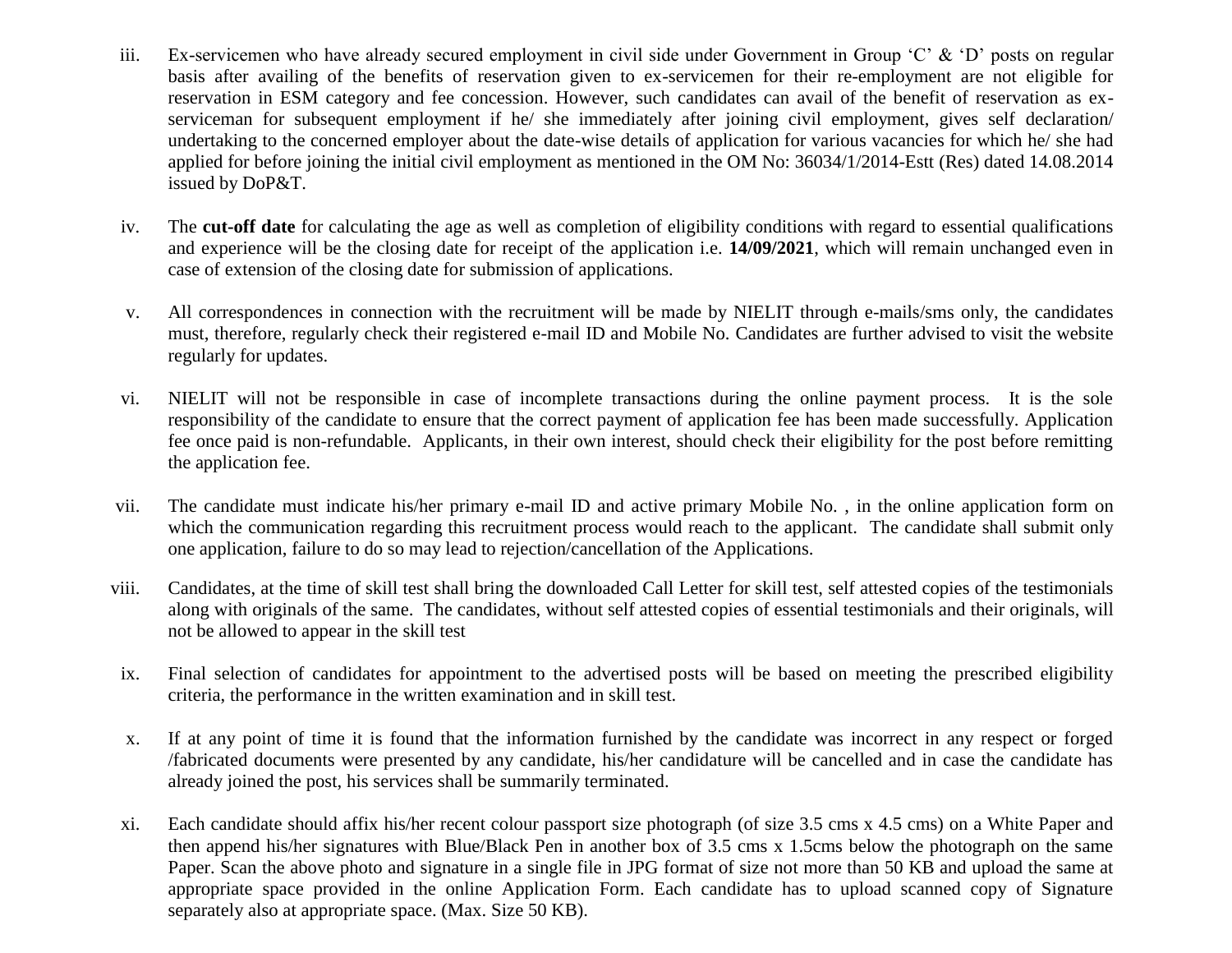- iii. Ex-servicemen who have already secured employment in civil side under Government in Group 'C' & 'D' posts on regular basis after availing of the benefits of reservation given to ex-servicemen for their re-employment are not eligible for reservation in ESM category and fee concession. However, such candidates can avail of the benefit of reservation as exserviceman for subsequent employment if he/ she immediately after joining civil employment, gives self declaration/ undertaking to the concerned employer about the date-wise details of application for various vacancies for which he/ she had applied for before joining the initial civil employment as mentioned in the OM No: 36034/1/2014-Estt (Res) dated 14.08.2014 issued by DoP&T.
- iv. The **cut-off date** for calculating the age as well as completion of eligibility conditions with regard to essential qualifications and experience will be the closing date for receipt of the application i.e. **14/09/2021**, which will remain unchanged even in case of extension of the closing date for submission of applications.
- v. All correspondences in connection with the recruitment will be made by NIELIT through e-mails/sms only, the candidates must, therefore, regularly check their registered e-mail ID and Mobile No. Candidates are further advised to visit the website regularly for updates.
- vi. NIELIT will not be responsible in case of incomplete transactions during the online payment process. It is the sole responsibility of the candidate to ensure that the correct payment of application fee has been made successfully. Application fee once paid is non-refundable. Applicants, in their own interest, should check their eligibility for the post before remitting the application fee.
- vii. The candidate must indicate his/her primary e-mail ID and active primary Mobile No. , in the online application form on which the communication regarding this recruitment process would reach to the applicant. The candidate shall submit only one application, failure to do so may lead to rejection/cancellation of the Applications.
- viii. Candidates, at the time of skill test shall bring the downloaded Call Letter for skill test, self attested copies of the testimonials along with originals of the same. The candidates, without self attested copies of essential testimonials and their originals, will not be allowed to appear in the skill test
- ix. Final selection of candidates for appointment to the advertised posts will be based on meeting the prescribed eligibility criteria, the performance in the written examination and in skill test.
- x. If at any point of time it is found that the information furnished by the candidate was incorrect in any respect or forged /fabricated documents were presented by any candidate, his/her candidature will be cancelled and in case the candidate has already joined the post, his services shall be summarily terminated.
- xi. Each candidate should affix his/her recent colour passport size photograph (of size 3.5 cms x 4.5 cms) on a White Paper and then append his/her signatures with Blue/Black Pen in another box of 3.5 cms x 1.5cms below the photograph on the same Paper. Scan the above photo and signature in a single file in JPG format of size not more than 50 KB and upload the same at appropriate space provided in the online Application Form. Each candidate has to upload scanned copy of Signature separately also at appropriate space. (Max. Size 50 KB).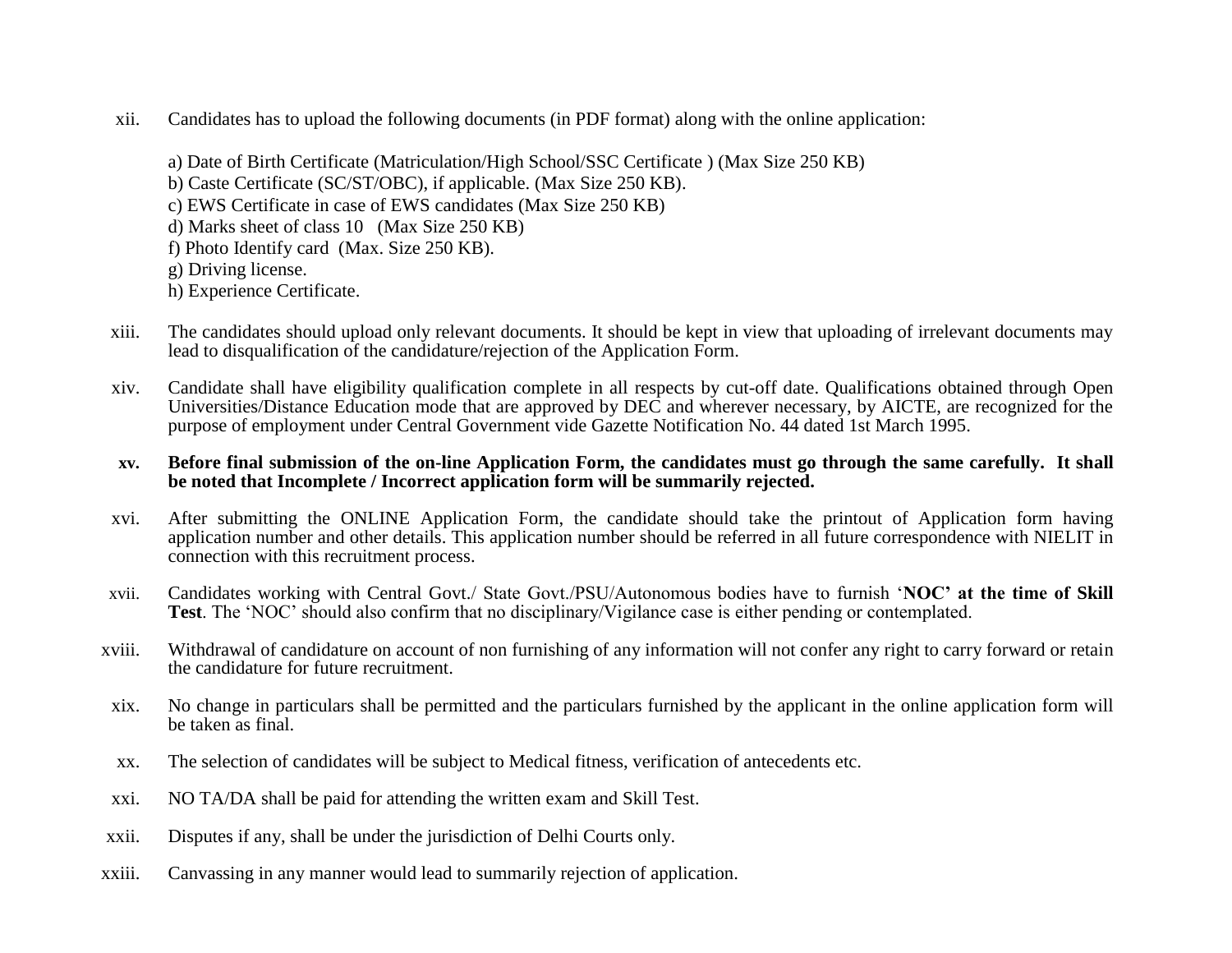xii. Candidates has to upload the following documents (in PDF format) along with the online application:

a) Date of Birth Certificate (Matriculation/High School/SSC Certificate ) (Max Size 250 KB) b) Caste Certificate (SC/ST/OBC), if applicable. (Max Size 250 KB). c) EWS Certificate in case of EWS candidates (Max Size 250 KB) d) Marks sheet of class 10 (Max Size 250 KB) f) Photo Identify card (Max. Size 250 KB). g) Driving license. h) Experience Certificate.

- xiii. The candidates should upload only relevant documents. It should be kept in view that uploading of irrelevant documents may lead to disqualification of the candidature/rejection of the Application Form.
- xiv. Candidate shall have eligibility qualification complete in all respects by cut-off date. Qualifications obtained through Open Universities/Distance Education mode that are approved by DEC and wherever necessary, by AICTE, are recognized for the purpose of employment under Central Government vide Gazette Notification No. 44 dated 1st March 1995.

#### **xv. Before final submission of the on-line Application Form, the candidates must go through the same carefully. It shall be noted that Incomplete / Incorrect application form will be summarily rejected.**

- xvi. After submitting the ONLINE Application Form, the candidate should take the printout of Application form having application number and other details. This application number should be referred in all future correspondence with NIELIT in connection with this recruitment process.
- xvii. Candidates working with Central Govt./ State Govt./PSU/Autonomous bodies have to furnish '**NOC" at the time of Skill Test**. The 'NOC' should also confirm that no disciplinary/Vigilance case is either pending or contemplated.
- xviii. Withdrawal of candidature on account of non furnishing of any information will not confer any right to carry forward or retain the candidature for future recruitment.
- xix. No change in particulars shall be permitted and the particulars furnished by the applicant in the online application form will be taken as final.
- xx. The selection of candidates will be subject to Medical fitness, verification of antecedents etc.
- xxi. NO TA/DA shall be paid for attending the written exam and Skill Test.
- xxii. Disputes if any, shall be under the jurisdiction of Delhi Courts only.
- xxiii. Canvassing in any manner would lead to summarily rejection of application.